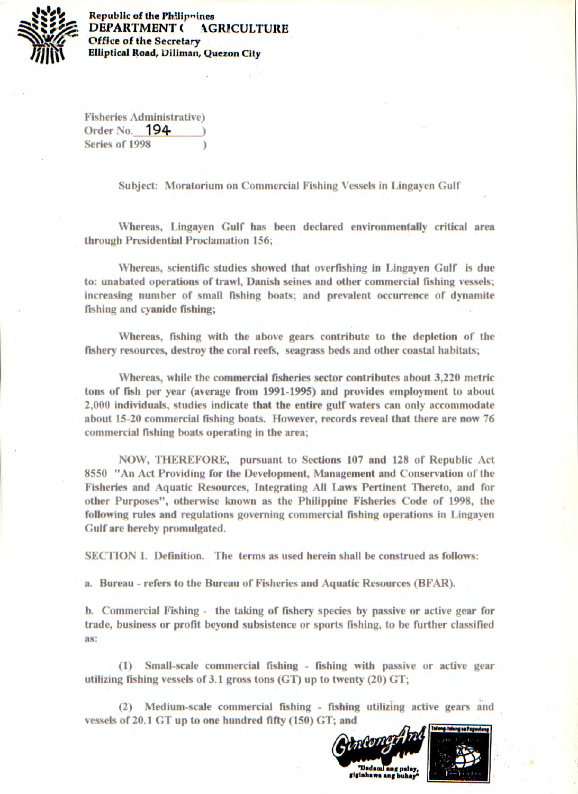

**Republic of the Philipnines DEPARTMENT ( AGRICULTURE Office of the Secretary Elliptical Road, Diliman, Quezon City** 

**Fisheries Administrative) Order No. 194- Series of 1998 )** 

**Subject: Moratorium on Commercial Fishing Vessels in Lingayen Gulf** 

**Whereas, Lingayen Gulf has been declared environmentally critical area through Presidential Proclamation 156;** 

**Whereas, scientific studies showed that overfishing in Lingayen Gulf is due to: unabated operations of trawl, Danish seines and other commercial fishing vessels; increasing number of small fishing boats; and prevalent occurrence of dynamite fishing and cyanide fishing;** 

**Whereas, fishing with the above gears contribute to the depletion of the fishery resources, destroy the coral reefs, seagrass beds and other coastal habitats;** 

**Whereas, while the commercial fisheries sector contributes about 3,220 metric tons of fish per year (average from 1991-1995) and provides employment to about 2,000 individuals, studies indicate that the entire gulf waters can only accommodate about 15-20 commercial fishing boats. However, records reveal that there are now 76 commercial fishing boats operating in the area;** 

**NOW, THEREFORE, pursuant to Sections 107 and 128 of Republic Act 8550 "An Act Providing for the Development, Management and Conservation of the Fisheries and Aquatic Resources, Integrating All Laws Pertinent Thereto, and for other Purposes", otherwise known as the Philippine Fisheries Code of 1998, the following rules and regulations governing commercial fishing operations in Lingayen Gulf are hereby promulgated.** 

**SECTION 1. Definition. The terms as used herein shall be construed as follows:** 

**a. Bureau - refers to the Bureau of Fisheries and Aquatic Resources (BFAR).** 

**b. Commercial Fishing - the taking of fishery species by passive or active gear for trade, business or profit beyond subsistence or sports fishing, to be further classified as:** 

**(1) Small-scale commercial fishing - fishing with passive or active gear utilizing fishing vessels of 3.1 gross tons (GT) up to twenty (20) GT;** 

**(2) Medium-scale commercial fishing - fishing utilizing active gears and**  vessels of 20.1 GT up to one hundred fifty (150) GT; and

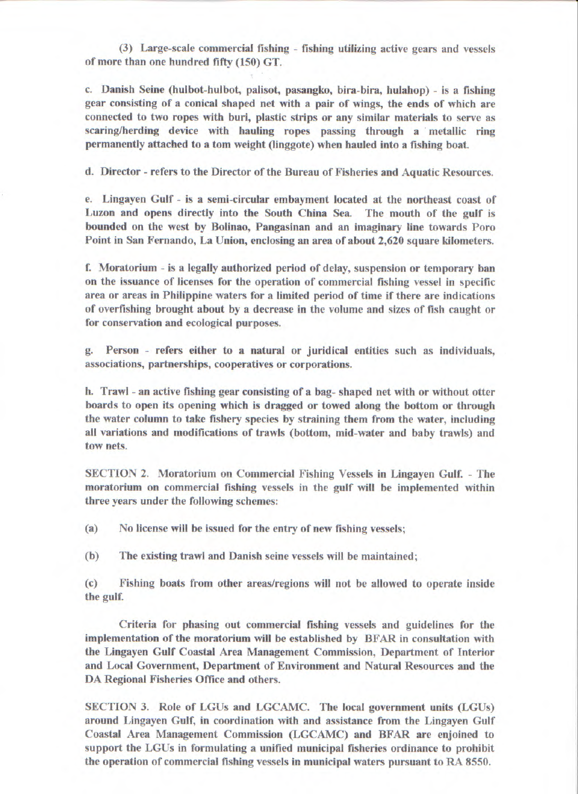(3) Large-scale commercial fishing - fishing utilizing active gears and vessels of more than one hundred fifty (150) GT.

c. Danish Seine (hulbot-hulbot, palisot, pasangko, bira-bira, hulahop) - is a fishing gear consisting of a conical shaped net with a pair of wings, the ends of which are connected to two ropes with buri, plastic strips or any similar materials to serve as scaring/herding device with hauling ropes passing through a metallic ring permanently attached to a torn weight (linggote) when hauled into a fishing boat.

d. Director - refers to the Director of the Bureau of Fisheries and Aquatic Resources.

e. Lingayen Gulf - is a semi-circular embayment located at the northeast coast of Luzon and opens directly into the South China Sea. The mouth of the gulf is bounded on the west by Bolinao, Pangasinan and an imaginary line towards Poro Point in San Fernando, La Union, enclosing an area of about 2,620 square kilometers.

f. Moratorium - is a legally authorized period of delay, suspension or temporary ban on the issuance of licenses for the operation of commercial fishing vessel in specific area or areas in Philippine waters for a limited period of time if there are indications of overfishing brought about by a decrease in the volume and sizes of fish caught or for conservation and ecological purposes.

g. Person - refers either to a natural or juridical entities such as individuals, associations, partnerships, cooperatives or corporations.

h. Trawl - an active fishing gear consisting of a bag- shaped net with or without otter boards to open its opening which is dragged or towed along the bottom or through the water column to take fishery species by straining them from the water, including all variations and modifications of trawls (bottom, mid-water and baby trawls) and tow nets.

SECTION 2. Moratorium on Commercial Fishing Vessels in Lingayen Gulf. - The moratorium on commercial fishing vessels in the gulf will be implemented within three years under the following schemes:

(a) No license will be issued for the entry of new fishing vessels;

(b) The existing trawl and Danish seine vessels will be maintained;

(c) Fishing boats from other areas/regions will not be allowed to operate inside the gulf.

Criteria for phasing out commercial fishing vessels and guidelines for the implementation of the moratorium will be established by BFAR in consultation with the Lingayen Gulf Coastal Area Management Commission, Department of Interior and Local Government, Department of Environment and Natural Resources and the DA Regional Fisheries Office and others.

SECTION 3. Role of LGUs and LGCAMC. The local government units (LGUs) around Lingayen Gulf, in coordination with and assistance from the Lingayen Gulf Coastal Area Management Commission (LGCAMC) and BFAR are enjoined to support the LGUs in formulating a unified municipal fisheries ordinance to prohibit the operation of commercial fishing vessels in municipal waters pursuant to RA 8550.